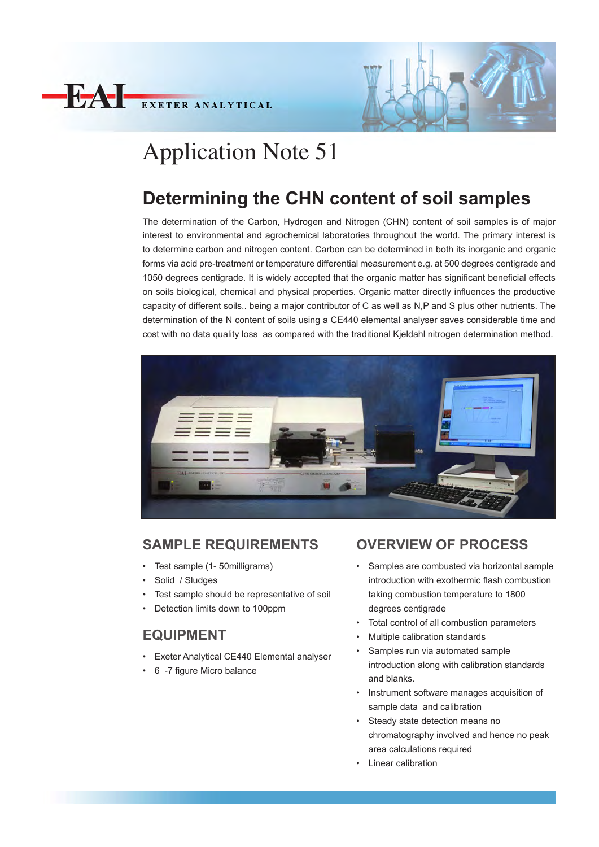



# Application Note 51

# **Determining the CHN content of soil samples**

The determination of the Carbon, Hydrogen and Nitrogen (CHN) content of soil samples is of major interest to environmental and agrochemical laboratories throughout the world. The primary interest is to determine carbon and nitrogen content. Carbon can be determined in both its inorganic and organic forms via acid pre-treatment or temperature differential measurement e.g. at 500 degrees centigrade and 1050 degrees centigrade. It is widely accepted that the organic matter has significant beneficial effects on soils biological, chemical and physical properties. Organic matter directly influences the productive capacity of different soils.. being a major contributor of C as well as N,P and S plus other nutrients. The determination of the N content of soils using a CE440 elemental analyser saves considerable time and cost with no data quality loss as compared with the traditional Kjeldahl nitrogen determination method.



#### **SAMPLE REQUIREMENTS**

- Test sample (1- 50milligrams)
- Solid / Sludges
- Test sample should be representative of soil
- Detection limits down to 100ppm

## **EQUIPMENT**

- Exeter Analytical CE440 Elemental analyser
- 6 -7 figure Micro balance

## **OVERVIEW OF PROCESS**

- Samples are combusted via horizontal sample introduction with exothermic flash combustion taking combustion temperature to 1800 degrees centigrade
- Total control of all combustion parameters
- Multiple calibration standards
- Samples run via automated sample introduction along with calibration standards and blanks.
- Instrument software manages acquisition of sample data and calibration
- Steady state detection means no chromatography involved and hence no peak area calculations required
- Linear calibration